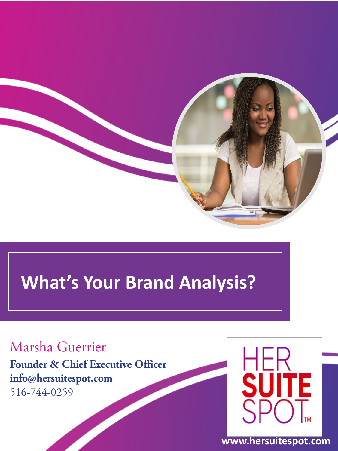

# **What's Your Brand Analysis?**

### Marsha Guerrier

**Founder & Chief Executive Officer info@hersuitespot.com** 516-744-0259



**www.hersuitespot.com**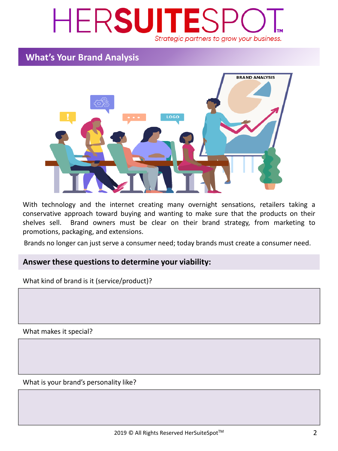## HERSUITES Strategic partners to grow your business.

#### **What's Your Brand Analysis**



With technology and the internet creating many overnight sensations, retailers taking a conservative approach toward buying and wanting to make sure that the products on their shelves sell. Brand owners must be clear on their brand strategy, from marketing to promotions, packaging, and extensions.

Brands no longer can just serve a consumer need; today brands must create a consumer need.

#### **Answer these questionsto determine your viability:**

What kind of brand is it (service/product)?

What makes it special?

What is your brand's personality like?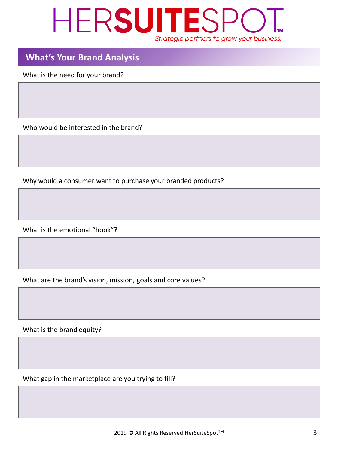### HERSUITESP Strategic partners to grow your business.

#### **What's Your Brand Analysis**

What is the need for your brand?

Who would be interested in the brand?

Why would a consumer want to purchase your branded products?

What is the emotional "hook"?

What are the brand's vision, mission, goals and core values?

What is the brand equity?

What gap in the marketplace are you trying to fill?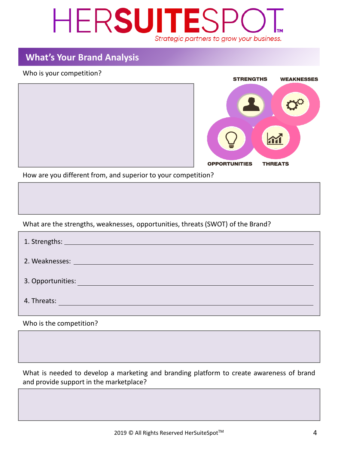### HERSUITES Strategic partners to grow your business.

### **What's Your Brand Analysis**

#### Who is your competition?



How are you different from, and superior to your competition?

What are the strengths, weaknesses, opportunities, threats (SWOT) of the Brand?

| <b>2. Weaknesses: Example 2. Weaknesses:</b>                                                                                          |
|---------------------------------------------------------------------------------------------------------------------------------------|
| 3. Opportunities:<br>a di sebagai kecamatan Sebagai Kecamatan Sebagai Kecamatan Sebagai Kecamatan Sebagai Kecamatan Sebagai Kecamatan |
| 4. Threats:                                                                                                                           |

Who is the competition?

What is needed to develop a marketing and branding platform to create awareness of brand and provide support in the marketplace?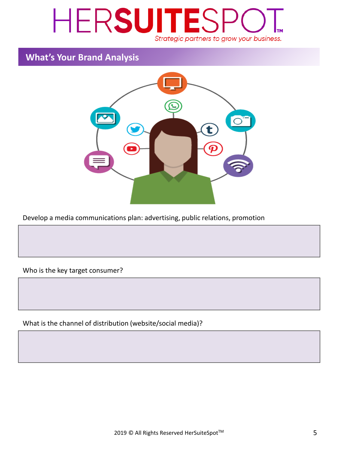### HERSUITES Strategic partners to grow your business.

#### **What's Your Brand Analysis**



Develop a media communications plan: advertising, public relations, promotion

Who is the key target consumer?

What is the channel of distribution (website/social media)?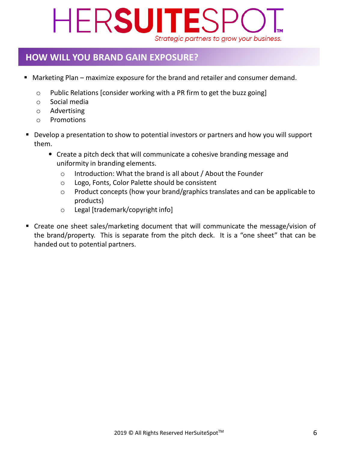# HERSUITE Strategic partners to grow your business.

#### **HOW WILL YOU BRAND GAIN EXPOSURE?**

- Marketing Plan maximize exposure for the brand and retailer and consumer demand.
	- $\circ$  Public Relations [consider working with a PR firm to get the buzz going]
	- o Social media
	- o Advertising
	- o Promotions
- Develop a presentation to show to potential investors or partners and how you will support them.
	- Create a pitch deck that will communicate a cohesive branding message and uniformity in branding elements.
		- o Introduction: What the brand is all about / About the Founder
		- o Logo, Fonts, Color Palette should be consistent
		- o Product concepts (how your brand/graphics translates and can be applicable to products)
		- o Legal [trademark/copyright info]
- Create one sheet sales/marketing document that will communicate the message/vision of the brand/property. This is separate from the pitch deck. It is a "one sheet" that can be handed out to potential partners.